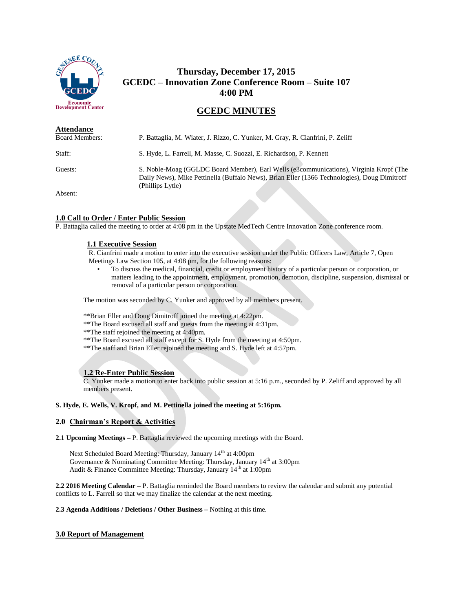

# **Thursday, December 17, 2015 GCEDC – Innovation Zone Conference Room – Suite 107 4:00 PM**

## **GCEDC MINUTES**

| <b>Attendance</b>     |                                                                                                                                                                                                            |
|-----------------------|------------------------------------------------------------------------------------------------------------------------------------------------------------------------------------------------------------|
| <b>Board Members:</b> | P. Battaglia, M. Wiater, J. Rizzo, C. Yunker, M. Gray, R. Cianfrini, P. Zeliff                                                                                                                             |
| Staff:                | S. Hyde, L. Farrell, M. Masse, C. Suozzi, E. Richardson, P. Kennett                                                                                                                                        |
| Guests:               | S. Noble-Moag (GGLDC Board Member), Earl Wells (e3communications), Virginia Kropf (The<br>Daily News), Mike Pettinella (Buffalo News), Brian Eller (1366 Technologies), Doug Dimitroff<br>(Phillips Lytle) |
| $A$ hoomto            |                                                                                                                                                                                                            |

Absent:

#### **1.0 Call to Order / Enter Public Session**

P. Battaglia called the meeting to order at 4:08 pm in the Upstate MedTech Centre Innovation Zone conference room.

#### **1.1 Executive Session**

R. Cianfrini made a motion to enter into the executive session under the Public Officers Law, Article 7, Open Meetings Law Section 105, at 4:08 pm, for the following reasons:

• To discuss the medical, financial, credit or employment history of a particular person or corporation, or matters leading to the appointment, employment, promotion, demotion, discipline, suspension, dismissal or removal of a particular person or corporation.

The motion was seconded by C. Yunker and approved by all members present.

\*\*Brian Eller and Doug Dimitroff joined the meeting at 4:22pm.

\*\*The Board excused all staff and guests from the meeting at 4:31pm.

\*\*The staff rejoined the meeting at 4:40pm.

- \*\*The Board excused all staff except for S. Hyde from the meeting at 4:50pm.
- \*\*The staff and Brian Eller rejoined the meeting and S. Hyde left at 4:57pm.

## **1.2 Re-Enter Public Session**

C. Yunker made a motion to enter back into public session at 5:16 p.m., seconded by P. Zeliff and approved by all members present.

## **S. Hyde, E. Wells, V. Kropf, and M. Pettinella joined the meeting at 5:16pm.**

#### **2.0 Chairman's Report & Activities**

**2.1 Upcoming Meetings –** P. Battaglia reviewed the upcoming meetings with the Board.

Next Scheduled Board Meeting: Thursday, January 14<sup>th</sup> at 4:00pm Governance & Nominating Committee Meeting: Thursday, January 14<sup>th</sup> at 3:00pm Audit & Finance Committee Meeting: Thursday, January 14<sup>th</sup> at 1:00pm

**2.2 2016 Meeting Calendar –** P. Battaglia reminded the Board members to review the calendar and submit any potential conflicts to L. Farrell so that we may finalize the calendar at the next meeting.

**2.3 Agenda Additions / Deletions / Other Business –** Nothing at this time.

#### **3.0 Report of Management**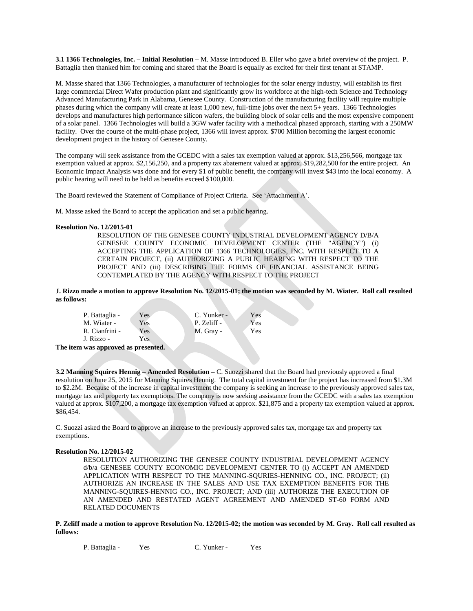**3.1 1366 Technologies, Inc. – Initial Resolution –** M. Masse introduced B. Eller who gave a brief overview of the project. P. Battaglia then thanked him for coming and shared that the Board is equally as excited for their first tenant at STAMP.

M. Masse shared that 1366 Technologies, a manufacturer of technologies for the solar energy industry, will establish its first large commercial Direct Wafer production plant and significantly grow its workforce at the high-tech Science and Technology Advanced Manufacturing Park in Alabama, Genesee County. Construction of the manufacturing facility will require multiple phases during which the company will create at least 1,000 new, full-time jobs over the next 5+ years. 1366 Technologies develops and manufactures high performance silicon wafers, the building block of solar cells and the most expensive component of a solar panel. 1366 Technologies will build a 3GW wafer facility with a methodical phased approach, starting with a 250MW facility. Over the course of the multi-phase project, 1366 will invest approx. \$700 Million becoming the largest economic development project in the history of Genesee County.

The company will seek assistance from the GCEDC with a sales tax exemption valued at approx. \$13,256,566, mortgage tax exemption valued at approx. \$2,156,250, and a property tax abatement valued at approx. \$19,282,500 for the entire project. An Economic Impact Analysis was done and for every \$1 of public benefit, the company will invest \$43 into the local economy. A public hearing will need to be held as benefits exceed \$100,000.

The Board reviewed the Statement of Compliance of Project Criteria. See 'Attachment A'.

M. Masse asked the Board to accept the application and set a public hearing.

#### **Resolution No. 12/2015-01**

RESOLUTION OF THE GENESEE COUNTY INDUSTRIAL DEVELOPMENT AGENCY D/B/A GENESEE COUNTY ECONOMIC DEVELOPMENT CENTER (THE "AGENCY") (i) ACCEPTING THE APPLICATION OF 1366 TECHNOLOGIES, INC. WITH RESPECT TO A CERTAIN PROJECT, (ii) AUTHORIZING A PUBLIC HEARING WITH RESPECT TO THE PROJECT AND (iii) DESCRIBING THE FORMS OF FINANCIAL ASSISTANCE BEING CONTEMPLATED BY THE AGENCY WITH RESPECT TO THE PROJECT

**J. Rizzo made a motion to approve Resolution No. 12/2015-01; the motion was seconded by M. Wiater. Roll call resulted as follows:**

| P. Battaglia - | Yes | C. Yunker - | Yes |
|----------------|-----|-------------|-----|
| M. Wiater -    | Yes | P. Zeliff - | Yes |
| R. Cianfrini - | Yes | M. Gray -   | Yes |
| J. Rizzo -     | Yes |             |     |

**The item was approved as presented.**

**3.2 Manning Squires Hennig – Amended Resolution –** C. Suozzi shared that the Board had previously approved a final resolution on June 25, 2015 for Manning Squires Hennig. The total capital investment for the project has increased from \$1.3M to \$2.2M. Because of the increase in capital investment the company is seeking an increase to the previously approved sales tax, mortgage tax and property tax exemptions. The company is now seeking assistance from the GCEDC with a sales tax exemption valued at approx. \$107,200, a mortgage tax exemption valued at approx. \$21,875 and a property tax exemption valued at approx. \$86,454.

C. Suozzi asked the Board to approve an increase to the previously approved sales tax, mortgage tax and property tax exemptions.

#### **Resolution No. 12/2015-02**

RESOLUTION AUTHORIZING THE GENESEE COUNTY INDUSTRIAL DEVELOPMENT AGENCY d/b/a GENESEE COUNTY ECONOMIC DEVELOPMENT CENTER TO (i) ACCEPT AN AMENDED APPLICATION WITH RESPECT TO THE MANNING-SQURIES-HENNING CO., INC. PROJECT; (ii) AUTHORIZE AN INCREASE IN THE SALES AND USE TAX EXEMPTION BENEFITS FOR THE MANNING-SQUIRES-HENNIG CO., INC. PROJECT; AND (iii) AUTHORIZE THE EXECUTION OF AN AMENDED AND RESTATED AGENT AGREEMENT AND AMENDED ST-60 FORM AND RELATED DOCUMENTS

**P. Zeliff made a motion to approve Resolution No. 12/2015-02; the motion was seconded by M. Gray. Roll call resulted as follows:**

P. Battaglia - Yes C. Yunker - Yes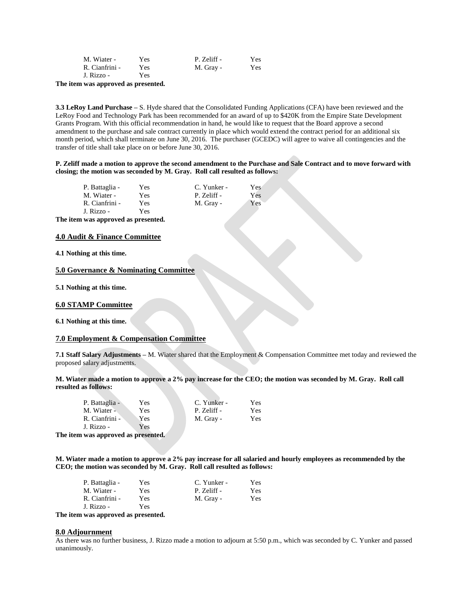| M. Wiater -    | <b>Yes</b> | P. Zeliff - | Yes |
|----------------|------------|-------------|-----|
| R. Cianfrini - | Yes.       | M. Gray -   | Yes |
| J. Rizzo -     | Yes.       |             |     |

**The item was approved as presented.**

**3.3 LeRoy Land Purchase –** S. Hyde shared that the Consolidated Funding Applications (CFA) have been reviewed and the LeRoy Food and Technology Park has been recommended for an award of up to \$420K from the Empire State Development Grants Program. With this official recommendation in hand, he would like to request that the Board approve a second amendment to the purchase and sale contract currently in place which would extend the contract period for an additional six month period, which shall terminate on June 30, 2016. The purchaser (GCEDC) will agree to waive all contingencies and the transfer of title shall take place on or before June 30, 2016.

#### **P. Zeliff made a motion to approve the second amendment to the Purchase and Sale Contract and to move forward with closing; the motion was seconded by M. Gray. Roll call resulted as follows:**

| P. Battaglia - | Yes  | C. Yunker - | Yes |
|----------------|------|-------------|-----|
| M. Wiater -    | Yes  | P. Zeliff - | Yes |
| R. Cianfrini - | Yes. | M. Gray -   | Yes |
| J. Rizzo -     | Yes  |             |     |

**The item was approved as presented.**

### **4.0 Audit & Finance Committee**

**4.1 Nothing at this time.**

## **5.0 Governance & Nominating Committee**

**5.1 Nothing at this time.**

#### **6.0 STAMP Committee**

**6.1 Nothing at this time.**

#### **7.0 Employment & Compensation Committee**

**7.1 Staff Salary Adjustments –** M. Wiater shared that the Employment & Compensation Committee met today and reviewed the proposed salary adjustments.

**M. Wiater made a motion to approve a 2% pay increase for the CEO; the motion was seconded by M. Gray. Roll call resulted as follows:**

| P. Battaglia - | Yes | C. Yunker - | Yes |
|----------------|-----|-------------|-----|
| M. Wiater -    | Yes | P. Zeliff - | Yes |
| R. Cianfrini - | Yes | M. Gray -   | Yes |
| J. Rizzo -     | Yes |             |     |

**The item was approved as presented.**

**M. Wiater made a motion to approve a 2% pay increase for all salaried and hourly employees as recommended by the CEO; the motion was seconded by M. Gray. Roll call resulted as follows:**

| P. Battaglia - | Yes | C. Yunker - | Yes |
|----------------|-----|-------------|-----|
| M. Wiater -    | Yes | P. Zeliff - | Yes |
| R. Cianfrini - | Yes | M. Gray -   | Yes |
| J. Rizzo -     | Yes |             |     |

**The item was approved as presented.**

#### **8.0 Adjournment**

As there was no further business, J. Rizzo made a motion to adjourn at 5:50 p.m., which was seconded by C. Yunker and passed unanimously.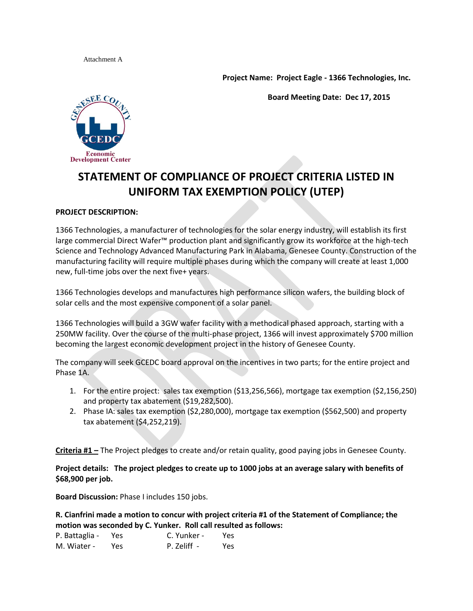Attachment A

**Project Name: Project Eagle - 1366 Technologies, Inc.**

**Board Meeting Date: Dec 17, 2015**



# **STATEMENT OF COMPLIANCE OF PROJECT CRITERIA LISTED IN UNIFORM TAX EXEMPTION POLICY (UTEP)**

## **PROJECT DESCRIPTION:**

1366 Technologies, a manufacturer of technologies for the solar energy industry, will establish its first large commercial Direct Wafer™ production plant and significantly grow its workforce at the high-tech Science and Technology Advanced Manufacturing Park in Alabama, Genesee County. Construction of the manufacturing facility will require multiple phases during which the company will create at least 1,000 new, full-time jobs over the next five+ years.

1366 Technologies develops and manufactures high performance silicon wafers, the building block of solar cells and the most expensive component of a solar panel.

1366 Technologies will build a 3GW wafer facility with a methodical phased approach, starting with a 250MW facility. Over the course of the multi-phase project, 1366 will invest approximately \$700 million becoming the largest economic development project in the history of Genesee County.

The company will seek GCEDC board approval on the incentives in two parts; for the entire project and Phase 1A.

- 1. For the entire project: sales tax exemption (\$13,256,566), mortgage tax exemption (\$2,156,250) and property tax abatement (\$19,282,500).
- 2. Phase IA: sales tax exemption (\$2,280,000), mortgage tax exemption (\$562,500) and property tax abatement (\$4,252,219).

**Criteria #1 –** The Project pledges to create and/or retain quality, good paying jobs in Genesee County.

**Project details: The project pledges to create up to 1000 jobs at an average salary with benefits of \$68,900 per job.**

**Board Discussion:** Phase I includes 150 jobs.

**R. Cianfrini made a motion to concur with project criteria #1 of the Statement of Compliance; the motion was seconded by C. Yunker. Roll call resulted as follows:**

| P. Battaglia - | Yes | C. Yunker - | Yes |
|----------------|-----|-------------|-----|
| M. Wiater -    | Yes | P. Zeliff - | Yes |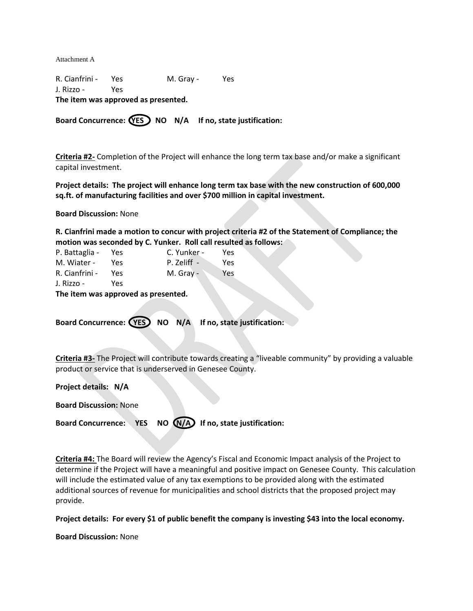Attachment A

R. Cianfrini - Yes M. Gray - Yes J. Rizzo - Yes **The item was approved as presented.** 

Board Concurrence:  $(YES)$  NO N/A If no, state justification:

**Criteria #2-** Completion of the Project will enhance the long term tax base and/or make a significant capital investment.

**Project details: The project will enhance long term tax base with the new construction of 600,000 sq.ft. of manufacturing facilities and over \$700 million in capital investment.**

**Board Discussion:** None

**R. Cianfrini made a motion to concur with project criteria #2 of the Statement of Compliance; the motion was seconded by C. Yunker. Roll call resulted as follows:**

| P. Battaglia - | Yes. | C. Yunker - | Yes |
|----------------|------|-------------|-----|
| M. Wiater -    | Yes  | P. Zeliff - | Yes |
| R. Cianfrini - | Yes  | M. Gray -   | Yes |
| J. Rizzo -     | Yes  |             |     |

**The item was approved as presented.** 

Board Concurrence: (YES) NO N/A If no, state justification:

**Criteria #3-** The Project will contribute towards creating a "liveable community" by providing a valuable product or service that is underserved in Genesee County.

**Project details: N/A**

**Board Discussion:** None

Board Concurrence: YES NO (N/A) If no, state justification:

**Criteria #4:** The Board will review the Agency's Fiscal and Economic Impact analysis of the Project to determine if the Project will have a meaningful and positive impact on Genesee County. This calculation will include the estimated value of any tax exemptions to be provided along with the estimated additional sources of revenue for municipalities and school districts that the proposed project may provide.

**Project details: For every \$1 of public benefit the company is investing \$43 into the local economy.**

**Board Discussion:** None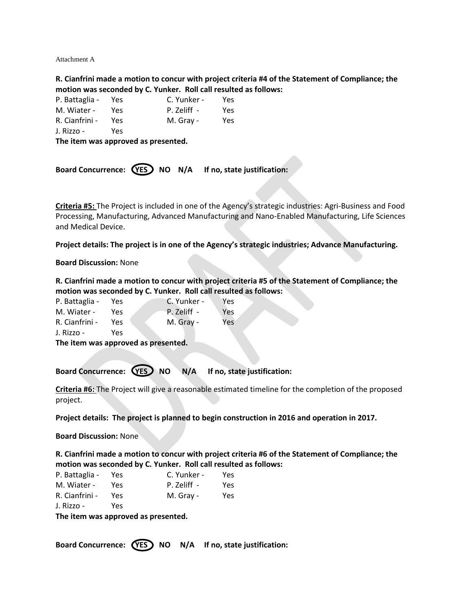Attachment A

**R. Cianfrini made a motion to concur with project criteria #4 of the Statement of Compliance; the motion was seconded by C. Yunker. Roll call resulted as follows:**

| P. Battaglia - | Yes. | C. Yunker - | Yes |
|----------------|------|-------------|-----|
| M. Wiater -    | Yes  | P. Zeliff - | Yes |
| R. Cianfrini - | Yes. | M. Gray -   | Yes |
| J. Rizzo -     | Yes  |             |     |

**The item was approved as presented.** 

|  |  |  |  | Board Concurrence: (YES) NO N/A If no, state justification: |
|--|--|--|--|-------------------------------------------------------------|
|--|--|--|--|-------------------------------------------------------------|

**Criteria #5:** The Project is included in one of the Agency's strategic industries: Agri-Business and Food Processing, Manufacturing, Advanced Manufacturing and Nano-Enabled Manufacturing, Life Sciences and Medical Device.

**Project details: The project is in one of the Agency's strategic industries; Advance Manufacturing.**

## **Board Discussion:** None

**R. Cianfrini made a motion to concur with project criteria #5 of the Statement of Compliance; the motion was seconded by C. Yunker. Roll call resulted as follows:**

| P. Battaglia - | Yes. | C. Yunker - | Yes.             |
|----------------|------|-------------|------------------|
| M. Wiater -    | Yes  | P. Zeliff - | Yes.             |
| R. Cianfrini - | Yes  | M. Gray -   | Yes <sup>-</sup> |
| J. Rizzo -     | Yes  |             |                  |

**The item was approved as presented.** 

Board Concurrence: **YES** NO N/A If no, state justification:

**Criteria #6:** The Project will give a reasonable estimated timeline for the completion of the proposed project.

**Project details: The project is planned to begin construction in 2016 and operation in 2017.**

**Board Discussion:** None

**R. Cianfrini made a motion to concur with project criteria #6 of the Statement of Compliance; the motion was seconded by C. Yunker. Roll call resulted as follows:**

| P. Battaglia - | Yes | C. Yunker - | Yes. |
|----------------|-----|-------------|------|
| M. Wiater -    | Yes | P. Zeliff - | Yes. |
| R. Cianfrini - | Yes | M. Gray -   | Yes  |
| J. Rizzo -     | Yes |             |      |

**The item was approved as presented.** 

Board Concurrence: (YES) NO N/A If no, state justification: